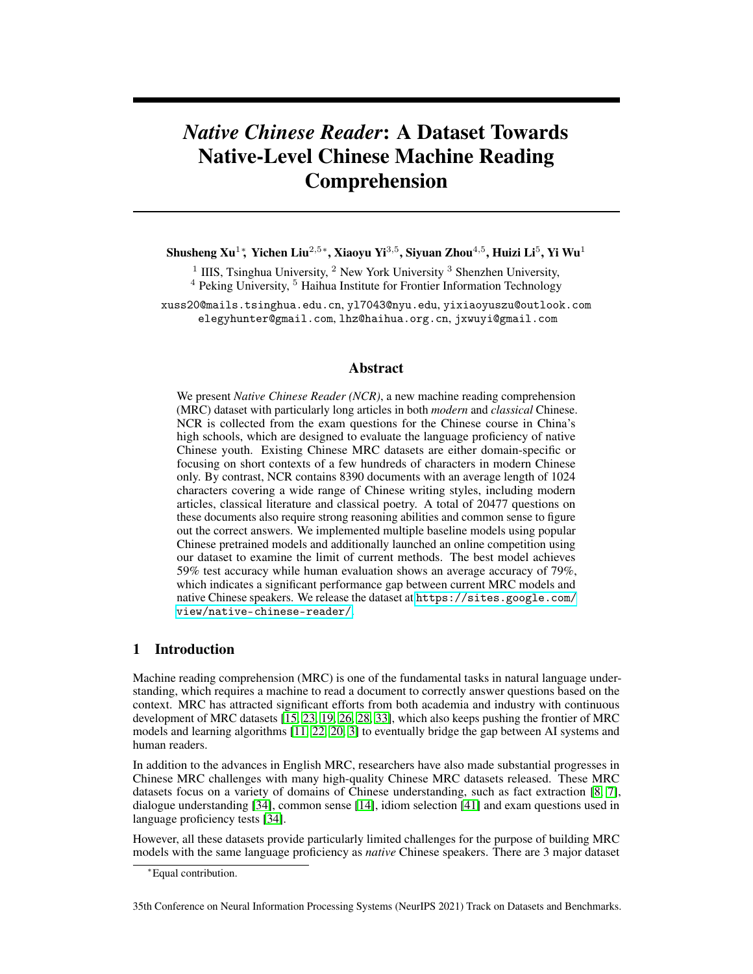# *Native Chinese Reader*: A Dataset Towards Native-Level Chinese Machine Reading Comprehension

Shusheng Xu $^1$ \*, Yichen Liu $^{2,5}$ \*, Xiaoyu Yi $^{3,5}$ , Siyuan Zhou $^{4,5}$ , Huizi Li $^5$ , Yi Wu $^1$ 

<sup>1</sup> IIIS, Tsinghua University, <sup>2</sup> New York University <sup>3</sup> Shenzhen University,

 $4$  Peking University,  $5$  Haihua Institute for Frontier Information Technology

xuss20@mails.tsinghua.edu.cn, yl7043@nyu.edu, yixiaoyuszu@outlook.com elegyhunter@gmail.com, lhz@haihua.org.cn, jxwuyi@gmail.com

# Abstract

We present *Native Chinese Reader (NCR)*, a new machine reading comprehension (MRC) dataset with particularly long articles in both *modern* and *classical* Chinese. NCR is collected from the exam questions for the Chinese course in China's high schools, which are designed to evaluate the language proficiency of native Chinese youth. Existing Chinese MRC datasets are either domain-specific or focusing on short contexts of a few hundreds of characters in modern Chinese only. By contrast, NCR contains 8390 documents with an average length of 1024 characters covering a wide range of Chinese writing styles, including modern articles, classical literature and classical poetry. A total of 20477 questions on these documents also require strong reasoning abilities and common sense to figure out the correct answers. We implemented multiple baseline models using popular Chinese pretrained models and additionally launched an online competition using our dataset to examine the limit of current methods. The best model achieves 59% test accuracy while human evaluation shows an average accuracy of 79%, which indicates a significant performance gap between current MRC models and native Chinese speakers. We release the dataset at [https://sites.google.com/](https://sites.google.com/view/native-chinese-reader/) [view/native-chinese-reader/](https://sites.google.com/view/native-chinese-reader/).

## 1 Introduction

Machine reading comprehension (MRC) is one of the fundamental tasks in natural language understanding, which requires a machine to read a document to correctly answer questions based on the context. MRC has attracted significant efforts from both academia and industry with continuous development of MRC datasets [\[15,](#page-10-0) [23,](#page-11-0) [19,](#page-11-1) [26,](#page-11-2) [28,](#page-11-3) [33\]](#page-11-4), which also keeps pushing the frontier of MRC models and learning algorithms [\[11,](#page-10-1) [22,](#page-11-5) [20,](#page-11-6) [3\]](#page-10-2) to eventually bridge the gap between AI systems and human readers.

In addition to the advances in English MRC, researchers have also made substantial progresses in Chinese MRC challenges with many high-quality Chinese MRC datasets released. These MRC datasets focus on a variety of domains of Chinese understanding, such as fact extraction [\[8,](#page-10-3) [7\]](#page-10-4), dialogue understanding [\[34\]](#page-12-0), common sense [\[14\]](#page-10-5), idiom selection [\[41\]](#page-12-1) and exam questions used in language proficiency tests [\[34\]](#page-12-0).

However, all these datasets provide particularly limited challenges for the purpose of building MRC models with the same language proficiency as *native* Chinese speakers. There are 3 major dataset

35th Conference on Neural Information Processing Systems (NeurIPS 2021) Track on Datasets and Benchmarks.

<sup>∗</sup>Equal contribution.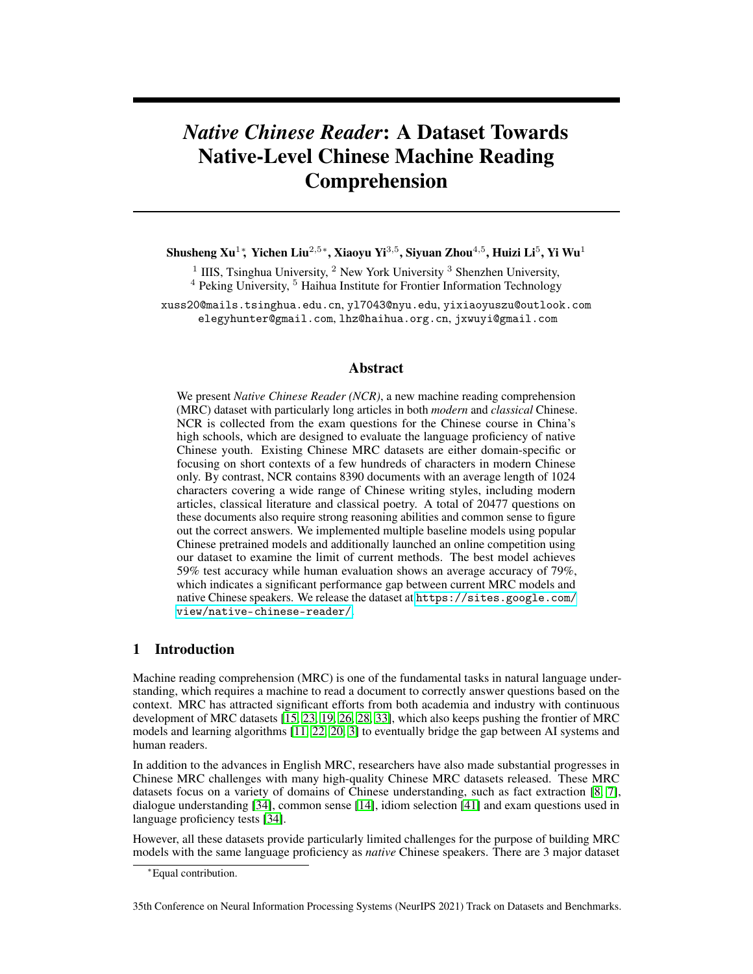limitations. First, the length of reading materials are *short*. For example,  $C_M^3$  [\[34\]](#page-12-0), a multiple-choice MRC dataset with the longest documents, has merely 180 characters per document on average. Even in the cloze-based datasets, the longest average document length is just around 500 characters. Second, the questions are *not sufficiently difficult*. Most existing datasets are either extractive or domain-specific (e.g., focusing on idiom or simple facts). Although  $C^3$  [\[34\]](#page-12-0) provides exam-based free-form multiple-choice questions, they are designed for *non-native* speakers and therefore do not require native-level reasoning capabilities and common sense knowledge to answer the questions. More importantly, none of existing datasets consider reading comprehension on *classical Chinese* documents, such as classical literature and poetry. Classical Chinese, as a writing style used in almost all formal writing until early 20th century [\[38\]](#page-12-2), plays a critical role in Chinese culture and has led to numerous idioms and proverbs. Even today, classical literature and poetry are still widely taught and examined in China's education system.

We developed a new general-form multiple-choice Chinese MRC dataset, *Native Chinese Reader (NCR)*, towards building a *native-level* Chinese comprehension system. The NCR dataset contains 8390 documents with over 20K questions collected using the exam questions for the Chinese course in China's high schools, which are designed to evaluate the language proficiency of *native* Chinese youth. Therefore, NCR naturally overcomes the limitations of existing datasets with sufficiently challenging questions and long documents in an average length of 1024 characters over both modern and classical Chinese writing styles (see Table [1\)](#page-2-0).

We provided in-depth analysis of NCR and implemented baselines using popular pretrained models. To further examine the limit of current MRC methods, we additionally launched a online competition using NCR. The best model we obtained achieves an average test accuracy of 59%, which is far below human evaluation result of 79% accuracy. This suggests a significant gap between current MRC model capabilities and the native-level Chinese language proficiency. We hope that NCR could serve as a milestone for the community to benefit future breakthroughs in Chinese natural language understanding.

# 2 Related Work

English Datasets: Machine Reading Comprehension tasks require a machine to answer a question based on the content in the given document. Early MRC datasets are primarily *cloze/span-based*, where the answer is simply a span in the document or a few words to be filled in the blank, including CNN/Daily Mail [\[15\]](#page-10-0), LAMBADA [\[25\]](#page-11-7), CBT[\[16\]](#page-11-8), BookTest [\[2\]](#page-10-6), Who-did-What [\[24\]](#page-11-9) and CLOTH [\[39\]](#page-12-3). The famous SQuAD dataset [\[27,](#page-11-10) [26\]](#page-11-2) for the first time introduces human-generated *free-form questions*, which requires the machine to understand natural language to select the correct span in Wikipedia pages. Similar datasets follow this trend of using free-form questions and adopt reading documents from a variety of sources, such as news articles [\[37,](#page-12-4) [17\]](#page-11-11) and dialogues [\[18,](#page-11-12) [28,](#page-11-3) [4\]](#page-10-7). In addition to these datasets where the answers can be directly *extracted* from the document, another popular type of datasets, i.e., *abstractive* datasets, ask the reader to generate an answer that may not be found in the given context [\[23,](#page-11-0) [12\]](#page-10-8). Abstractive datasets further require the reader to perform non-trivial reasoning over the facts in the document as well as common sense knowledge to produce answers. However, since the answer itself is a natural language, evaluation for abstractive datasets can be tricky. *Multiple-choice* datasets overcome the evaluation difficulty in abstractive datasets by simply asking the reader to select the correct answer from the candidate options. Representative datasets, such as RACE [\[19\]](#page-11-1) and DREAM [\[33\]](#page-11-4), utilize exam questions collected from standard English proficiency tests, which are generated by language teachers to evaluate a variety of language capabilities of non-native English speakers.

Chinese Datasets: The development of Chinese MRC datasets follow a similar trend of English ones. Early cloze-based datasets, such as People Daily news (PD) dataset and Children's Fairy Tale (CFT) dataset [\[9\]](#page-10-9), utilize a sentence with a repeated noun removed as the question and ask the reader to predict the removed noun. As Chinese counterparts to the SQuAD dataset, DRCD [\[31\]](#page-11-13), CMRC2017 [\[8\]](#page-10-3) and CMRC2018 [\[7\]](#page-10-4) datasets adopt human-generated questions and ask the reader to extract spans in the given documents as answers. DuReader [\[14\]](#page-10-5), a representative abstractive dataset collects natural questions and answers from Baidu search data, which are in the same style as the English MS-MARCO dataset [\[23\]](#page-11-0). CMRC2019 dataset [\[10\]](#page-10-10) and ChID dataset [\[41\]](#page-12-1) combine cloze-based questions and multiple-choice answer options. In CMRC2019, a few sentences are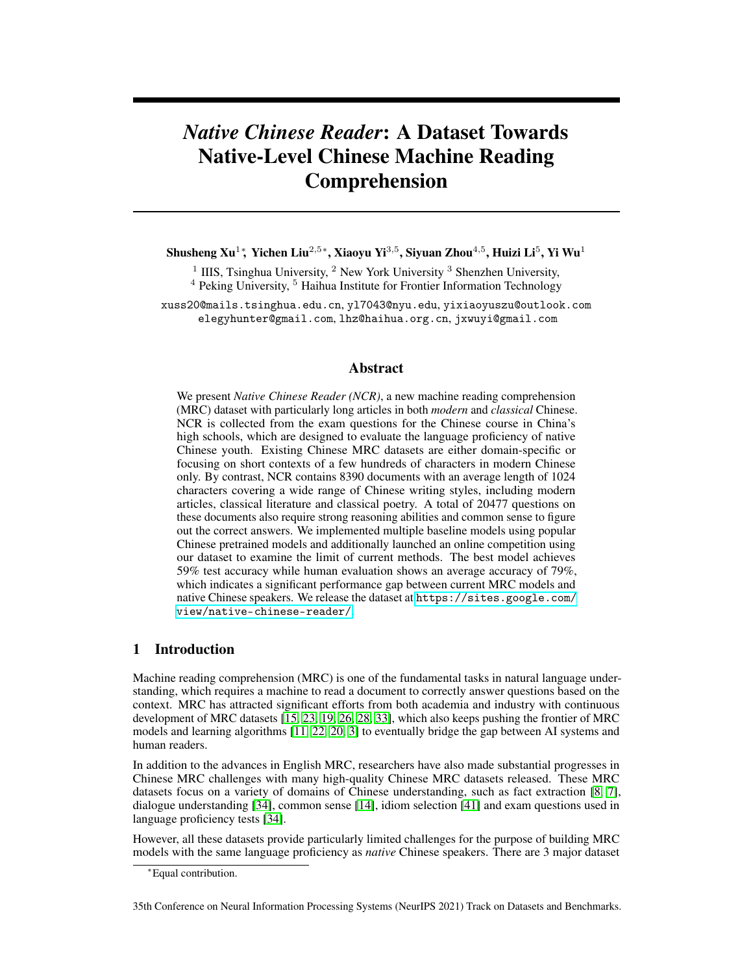|                  |       | Source of Doc.    |           |                 |      | Classical      |
|------------------|-------|-------------------|-----------|-----------------|------|----------------|
| <b>Dataset</b>   | #Que. |                   | Que. type | Ans. Type       | Avg. | Chinese        |
| <b>PD</b>        | 877K  | <b>News</b>       | cloze     | extractive      | 379  | N <sub>0</sub> |
| <b>CFT</b>       | 3.5K  | <b>Stories</b>    | cloze     | extractive      | 139  | N <sub>0</sub> |
| <b>DRCD</b>      | 34K   | Wiki              | NO.       | extractive      | 437  | N <sub>0</sub> |
| <b>CMRC 2017</b> | 364K  | Wiki              | NO.       | extractive      | 486  | N <sub>0</sub> |
| <b>CMRC 2018</b> | 18K   | Wiki              | NO.       | extractive      | 508  | N <sub>0</sub> |
| DuReader         | 200K  | Baidu             | NO.       | abstractive     | 82   | N <sub>0</sub> |
| <b>CMRC 2019</b> | 100K  | <b>Story</b>      | cloze     | multiple choice | 557  | N <sub>0</sub> |
| ChID             | 729K  | News&Stories      | cloze     | multiple choice | 159  | N <sub>0</sub> |
| $C3-D$           | 9.6K  | Exam (Non-Native) | NO.       | multiple choice | 76   | N <sub>0</sub> |
| $C3-M$           | 10K   | Exam (Non-Native) | NO.       | multiple choice | 180  | N <sub>0</sub> |
| <b>NCR</b>       | 20.4K | Exam (Native)     | NO.       | multiple choice | 1024 | Included       |

<span id="page-2-0"></span>Table 1: Comparison between NCR and related Chinese MRC datasets. NQ is short for free-form *natural question*.

masked in each document and the reader is asked to match each option sentence to the corresponding blank in the document. ChID focuses on traditional Chinese idioms by asking the reader to select the correct idiom based on the given story context. Recently, the  $C<sup>3</sup>$  dataset [\[34\]](#page-12-0) was released, which contains both free-form questions and multiple-choice answer options.  $C<sup>3</sup>$  is collected using the exam questions for Chinese-as-a-second-language tests and consists of two sub-datasets,  $C_{\text{D}}^3$  focusing on normal documents and  $\mathrm{C}_{\mathrm{M}}^3$  on dialogues, which can be viewed as the Chinese counterparts of RACE [\[19\]](#page-11-1) and DREAM [\[33\]](#page-11-4) respectively.

Position of NCR: We developed Native Chinese Reader (NCR), a exam-question-based MRC dataset with free-from questions and multiple-choice answer options, which aims to push the frontier of building *native-level* Chinese MRC models. The high-level statistics of NCR and all the aforemen-tioned datasets are summarized in Table. [1.](#page-2-0)  $\mathrm{C}^3$  is perhaps the most related work to ours. However,  $\mathrm{C}^3$ are collected from *Chinese-as-a-second-language* tests, so its questions are much easier than NCR for three reasons. First, documents, questions and answers in NCR are substantially **longer** than C<sup>3</sup>. Second, a quarter of the documents in NCR are written in classical Chinese, which is a critical component of Chinese language but largely ignored by existing works. We remark that although the answers in ChID dataset [\[41\]](#page-12-1) are idioms, which is a restricted form of classical Chinese, the documents in ChID remain in modern Chinese. Lastly, the questions in NCR are collected from the exams for China's high-school students and require **native-level reasoning capabilities** using the background knowledge of Chinese history and culture. In-depth comparisons on the question types between C<sup>3</sup> and NCR can be found in Sec. [3.4](#page-5-0) with example questions shown in Table. [6.](#page-7-0) In addition, we highlight that a lot of questions in NCR require choosing one *incorrect* option out of 4 options (i.e., three other are *correct*; see Table [4](#page-4-0) and [6](#page-7-0) for examples). We count the questions containing "不正 确" ("incorrect"), "不& 合" ("incompatible") or "不恰当" ("inappropriate"), 56.49%, 57.63%, and 56.14% of questions fall into this category in training/validation/test sets respectively. This requires the capability of understanding and reasoning with negations.

Finally, we remark that, in addition to Chinese and English, there are also other datasets developed in other languages like Japanese [\[32,](#page-11-14) [36\]](#page-12-5), Russian [\[13\]](#page-10-11) and cross-lingual scenarios [\[1,](#page-10-12) [21\]](#page-11-15), which are of parallel interest to our project.

# 3 Native Chinese Reader (NCR) Dataset

In this section, we provide detailed analysis of the documents and questions in our NCR dataset, including overall statistics, document styles, major challenges as well as studies on question types.

### 3.1 Task Format and Collection Methodology

In NCR, each document is associated with a series of multiple-choice questions. Each question has 2 to 4 options, of which exactly one is correct. The task is to select the correct option based on the document and the question. Both questions and options are expressed in natural language covering a wide range of question types (more details discussed below).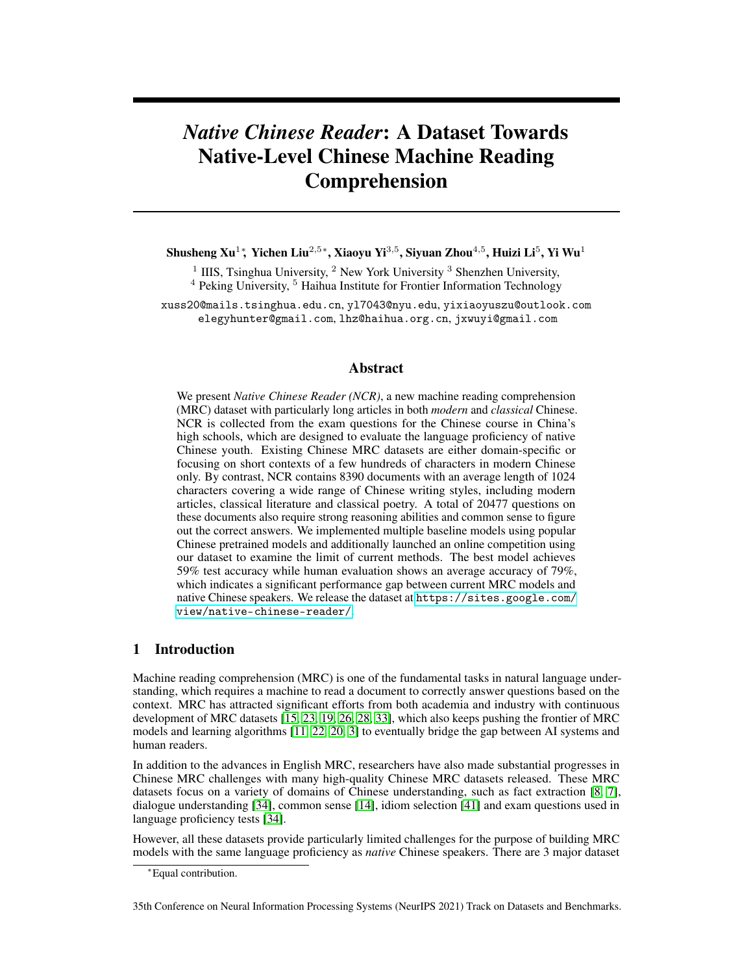All the questions and documents are collected from online open-access high-school education materials. After data cleaning, 8315 documents followed by 20284 questions are obtained. We randomly split the dataset at the document level, with 6315 for training, 1000 for validation and 1000 for testing. Furthermore, to make sure our test set has sufficient novel questions that never appear online, we also invited a few high-school Chinese teachers to manually generate 193 questions for a total of 73 additional documents to augment the test set. Finally, NCR consists of 6315 documents with 15419 questions for training, 1000 documents with 2443 questions for validation and 1073 documents with 2615 questions for testing.

<span id="page-3-0"></span>Table 2: The overall statistics of different Chinese multi-choice MRC datasets. ChID and CMRC2019 are cloze-based without questions. \* means statistics are collected over validation and test set only.

| <b>Datasets</b>            | Len. of Doc.   | Len. of Oue. | Len. of Opt. | #Opt. per Que. | #Que. per Doc. |
|----------------------------|----------------|--------------|--------------|----------------|----------------|
|                            | Avg. / Max.    | Avg./Max.    | Avg./Max.    | Min./Avg./Max. | Min./Avg./Max. |
| ChID                       | 159.1/581      | N/A          | 4/4          | 7/7.0/7        | 1/1.2/12       |
| <b>CMRC 2019</b>           | 557.3/688      | N/A          | 13.8/29      | 5/10.6/15      | 0/9.9/15       |
| $C3-M$                     | 180.2/1.274    | 13.5/57      | 6.5/45       | 2/3.7/4        | 1/1.9/6        |
| $C3-D$                     | 76.3/1.540     | 10.9 / 34    | 4.4/31       | 3/3.8/4        | 1/1.2/6        |
| C <sub>3</sub>             | 116.9/1.540    | 12.2/57      | 5.5/45       | 2/3.8/4        | 1/1.5/6        |
| <b>NCR</b> Classical only* | 521.5/1.258    | 25.7/178     | 36.8/130     | 2/4.0/4        | 1/2.2/5        |
| NCR Modern only*           | 1207.8 / 4,640 | 24.4 / 276   | 44.1 / 152   | 2/4.0/4        | 1/2.5/5        |
| <b>NCR All</b>             | 1023.7 / 4,640 | 24.5/352     | 43.0 / 256   | 2/4.0/4        | 1/2.4/5        |

## 3.2 Dataset Statistics

We summarize the high-level statistics of our NCR dataset and other related multi-choice Chinese MCR datasets in Table [2.](#page-3-0) In addition, we also measure the statistics of classical and modern documents from the validation and test set, where we can observe that modern Chinese articles are more than twice longer than classical Chinese literature. Comparing with other Chinese MRC datasets, NCR is an order of magnitude longer, even including those very concise classical Chinese documents. Besides documents, NCR also contains much longer questions and answer options. Particularly for the option length, NCR is almost an order of magnitude longer except the CMRC2019 dataset. We remark that CMRC2019 is a cloze-style dataset with a completely different question style from NCR: CMRC2019 options are original document texts while the reader only needs to match the options to the corresponding blank in the document. Overall, NCR has substantially longer articles, questions and options with diverse document styles, which suggests a much higher comprehension difficulty than existing datasets.

<span id="page-3-1"></span>Table 3: Statistics of document length over NCR validation set and test set. Classical Chinese articles (including poetry) are much shorter than modern Chinese articles.

| Style     | count | min | avg  | max  |
|-----------|-------|-----|------|------|
| Modern    | 1493  | 47  | 1208 | 4640 |
| Classical | 580   | 24  | 522  | 1258 |
| Poetry    | 63    | 24  | 156  | 668  |

### <span id="page-3-2"></span>3.3 Document Style and Challenges

We manually annotated the writing styles of the documents in validation set and test set with summarized statistics in Table [3.](#page-3-1) Almost a quarter of the documents are in classical Chinese. We remark that most documents are collected from online open-access resources. This indicates that classical Chinese indeed plays a critical role in China's Chinese class, which, however, is often ignored in previous Chinese MRC studies. Table [4](#page-4-0) presents two example documents, one in classical Chinese  $(D1)$  and one in modern Chinese  $(D2)$ , with associated questions. In the following content, we will discuss the major challenges in NCR with respect to different document writing styles.

Classical Chinese: Classical Chinese literature is substantially more difficult than modern Chinese documents due to its conciseness and flexible grammar. Most classical Chinese words are expressed in a single character and therefore are not restrictively categorized into parts of speech: nouns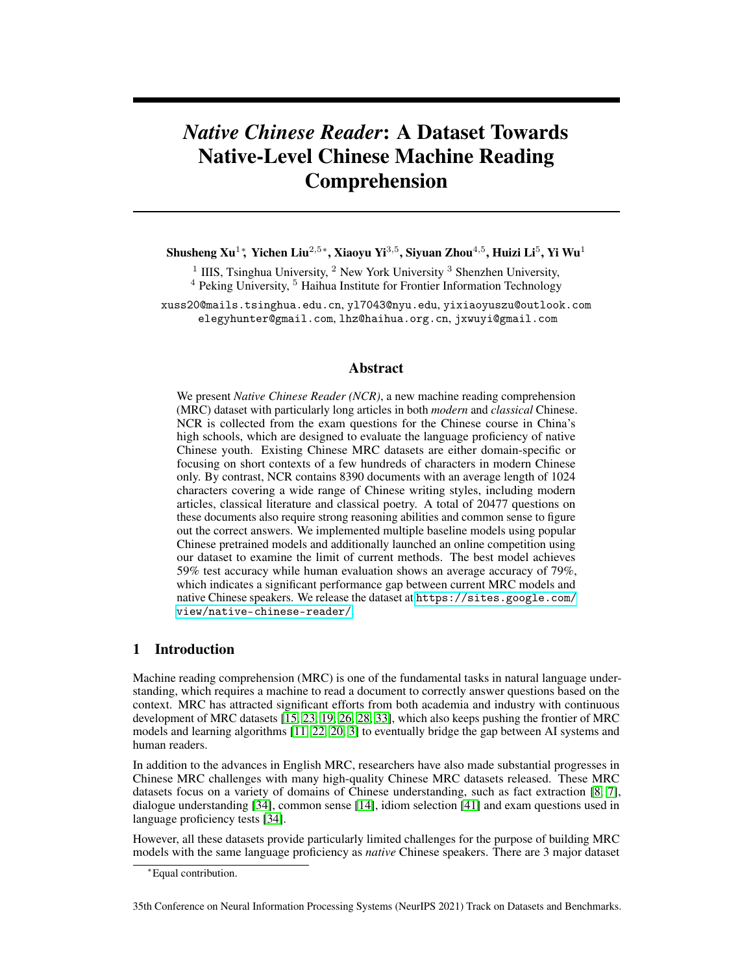<span id="page-4-0"></span>Table 4: Example documents and questions (left) with English translation (right). Top (D1): a classical Chinese poem; Bottom (D2): an except of a modern Chinese article.  $\star$  denotes the correct option for each question  $(Q)$ .

| D1 相A 欢<br>李煜<br>无言独上•楼<br>月如钩。 寂寞梧桐深】<br>清<br>理Ø乱<br>秋。 剪不断<br>是离愁。 别是一,<br>滋<br>味在心头。                                                                                                                                                                                                                                                                                                                                                                                                                                                                                                                                                                                                                                           | <b>D1</b> Form of Xiang-Jian-Huan Li Yu<br>Silent, solitary, I step up the western tower. The moon appears like a hook. The<br>lone parasol tree locks the clear autumn in the deep courtyard. What cannot be<br>cut nor raveled, is the sorrow of separation: Nothing tastes like that to the heart.                                                                                                                                                                                                                                                                                                                                                                                                                                                                                                                                                                                                                                                                                                                                                                                                                                                                                                                                                                                                                                                                                                                                                                                                                                                                                                                                                                                                                                                                                                                                                                                                                                                                                                                         |
|-----------------------------------------------------------------------------------------------------------------------------------------------------------------------------------------------------------------------------------------------------------------------------------------------------------------------------------------------------------------------------------------------------------------------------------------------------------------------------------------------------------------------------------------------------------------------------------------------------------------------------------------------------------------------------------------------------------------------------------|-------------------------------------------------------------------------------------------------------------------------------------------------------------------------------------------------------------------------------------------------------------------------------------------------------------------------------------------------------------------------------------------------------------------------------------------------------------------------------------------------------------------------------------------------------------------------------------------------------------------------------------------------------------------------------------------------------------------------------------------------------------------------------------------------------------------------------------------------------------------------------------------------------------------------------------------------------------------------------------------------------------------------------------------------------------------------------------------------------------------------------------------------------------------------------------------------------------------------------------------------------------------------------------------------------------------------------------------------------------------------------------------------------------------------------------------------------------------------------------------------------------------------------------------------------------------------------------------------------------------------------------------------------------------------------------------------------------------------------------------------------------------------------------------------------------------------------------------------------------------------------------------------------------------------------------------------------------------------------------------------------------------------------|
| 01 "寂寞梧桐深】 清秋"中" "的意思是<br>A. 头 B.金<br>C. $\#$ $\star$<br>D.升<br>Q2 下bÙ首「的O析不正确的一y是<br>A. 上<br>定景<br>•楼、月 Г 、梧桐、深 Δ 、清<br>画b冷寂。<br>秋<br>B."寂寞梧桐深b 清秋"一句<br>写栽着梧桐树<br>渲染了清秋气氛。<br>的b落很寂Y<br>C. 下 Ⅰ 入抒怀<br>写出了作 • 忧生活中34G以排<br>⊂的感情★<br>D. 全「将抽@的情感加以形@化 抒发了作<br>离乡去国之 。                                                                                                                                                                                                                                                                                                                                                                                                                                                             | Q1 In "The lone parasol tree locks the clear autumn in the deep courtyard.",<br>"Locks" means<br>A.The lock<br><b>B.Gold lock C. Lock up</b> $\star$ <b>D.Unlock</b><br>Q2 The incorrect option for the appreciation and analysis of this poem is<br>A. The scenery is fixed in the first half, including the west tower, moonlight, para-<br>sol tree, deep courtyard, and clear autumn, the picture of which is cold and quiet.<br>B. The sentence "The lone parasol tree locks the clear autumn in the deep court-<br>yard" says that the courtyard with the parasol tree is very quiet, rendering the<br>atmosphere of autumn.<br>C. The second half turns to express feelings and writes about author's unre-<br>lievable feeling when he secretly worry about life. $\star$<br>D. The whole poem visualizes abstract emotions and expresses the author's suf-<br>fering in leaving his hometown and the capital.                                                                                                                                                                                                                                                                                                                                                                                                                                                                                                                                                                                                                                                                                                                                                                                                                                                                                                                                                                                                                                                                                                        |
| D2 在酒楼上<br>• Ä (2) 我竟不料在Ù<br>里意外的GA朋友了 ——假如他现在Ø 我称<br>他为朋友。•上来的分明是我的旧同窗<br>也是做<br>教员时代的旧同事 匕匡虽然‡有些改变<br>但一<br>A.也就¤Æ 独有L.动却变得格外A<br>很不像<br>当年敏捷34悍的吕「甫了。(11)"我一回来 就<br>想到我可<br>。"他一手擎着烟卷<br>一只手扶着酒<br>的向我 <sub>〇</sub> 。"我在少年时<br>看A蜂<br>杯<br>似 ヘ<br>子或蝇子停在一个地方 □什么来一吓<br>即刻口<br>去了<br>但是口了一个小圈子 便又回来停在原地<br>点<br>便以为U实在很可<br>也可怜。可不料现在<br>我⊖ 已也口回来了 不ÇÕ了点小圈子。又不料<br>你也回来了。你不√口得更Ü些么 "(20)"你<br>教的是'子曰×云'"么 我巨得奇异 便∎。(21)<br>"⊖然。你Ø以为教的是ABCD么 我先是两个学<br>一个û 《 $\times$ ǐ 》<br>一个û《孟子》。新Ñ<br>生<br>又添了一个 女的 · Q 《女儿】》 。 D - 学也不<br>不是我不教 他们不•教。"(22)"我实在料<br>教<br>不到你倒去教Ù{书,"(23)"他们的 子• 他们<br>我是别人 无乎不可的。〕些无」的事<br>ûÜ些<br>只•••便便,"(24)"企么 你以后kα<br>一什么<br>备怎么办呢 "(25)"以后 ——我不知§。你看<br>我们Q时k想的事可有一件如意 我现在什么也<br>不知§ 口明天怎样也不知§ 口后一分" | <b>D2.</b> In the Restaurant (Excerpt) <b>Lu Xun</b> (2) I never guessed that here of all<br>places I should expectedly meet a friend – if such he would still let me call him.<br>The newcomer was an old class mate who had been my colleague when I was a<br>teacher, and although he had changed a great deal I knew him as soon as saw him.<br>Only he had become much slower in his movements, very unlike the nimble and<br>active Lu Wei-fu of the old days. (11) "As soon as I came back I knew I was a<br>fool". Holding his cigarette in one hand and the wine cup in the other, he spoke<br>with a bitter smile. "When I was young, I saw the way bees or flies stopped in<br>one place. If they were frightened they would fly but after flying in a small circle<br>they would come back again to stop in the same place; and I thought this really<br>very foolish, as well as pathetic. But I didn't think that I would fly back myself,<br>after only flying in a small circle. And I didn't think you would come back either.<br>Couldn't you have flown a little further?" (20)"Are you teaching that?" I asked<br>in astonishment (21) "Of course. Did you think I was teaching English? First I<br>had two pupils, one studying the Book of Songs, the other Mencius. Recently I<br>have got another, a girl, who is studying the Canon for Girls. I don't even teach<br>mathematics; not that I wouldn't teach it, but they don't want it taught." (22)"I<br>could really never have guessed that you would be teaching such books" (23)<br>"Their father wants them to study these. I'm an outsider so it's all the same to<br>me. Who cares about such futile affairs anyway There's no need to take them<br>seriously " (24) "Then what do you mean to do in future?" (25) "In future? I<br>don't know. Just think: Has any single thing turned out as we hoped of all we<br>planned in the past? I'm not sure of anything now, not even of what I will do<br>tomorrow, or even of the next minute " |
| Q3 下列对文章思想内容的理百与分析<br>不正确<br>的一V 是<br>A."L 动却变得格外A<br>很不像当年敏捷34<br>悍的吕「甫了"高度概括了眼前吕「甫的34神状<br>突出他的A " 废 。<br>态<br>B. "蝇子口了一个小圈子 便又回来停在原地<br>点 "<br>吕¬甫的U番⊖ ð é 嘲中对 è 身: 乏清醒<br>的口Æ 浑噩度日 揭示了残酷的现实生活将人<br>的灵魂挤扁 人们只V在"唐消沉中磨蚀生命的<br>主~ 。*<br>C. 从吕-甫叙凸现在教书生涯的内容和原因的<br>可A他已  Y] 了当初的理想<br>Ýί†<br>变得B<br>屈从于当前}固封建势力。<br>且偷安<br>D. 文章 C吕¬甫的人生 历来告巨û<br>믐<br>っ甫的人生悲剧正是€个时代无数知Æ分子悲剧<br>命曰的代h<br>个人的悲剧】后则是整个时代的<br>悲哀。                                                                                                                                                                                                                                                                                                                    | Q3 The incorrect one from the following understanding and analysis of the<br>thought content of the article is:<br>A. "Only he had become much slower in his movements, very unlike the nimble<br>and active LuWei-fu of the old days. " gives a high-level overview of Lu Weifu's<br>mental state, highlighting his sluggish decadence.<br>B. "If they were frightened they would fly but after flying in a small circle<br>they would come back again to stop in the same place." indicates that Lu<br>Wei-fu lacks clear understanding of himself and lives in a muddle, which<br>reveals that the cruel reality of life squeezes the soul, human can only wear<br>out their lives in depression. $\star$<br>C. From Lu Wei-fu's narration of the content and reasons of his current teaching<br>career, it can be seen that he has violated his original ideals, has become stubborn,<br>and yielded to the current stubborn feudal forces.<br>D. The article tells readers through Lu Wei-fu's life experience that Lu Weifu's<br>life tragedy is the representative of the tragedy of countless intellectuals in that<br>era, and behind the personal tragedy is the tragedy of the entire era.                                                                                                                                                                                                                                                                                                                                                                                                                                                                                                                                                                                                                                                                                                                                                                                                                         |

can be used as verbs, adjectives can be used as nouns, and so on. For example, the character "东" only means "east" in modern Chinese. However, in the classical Chinese sentence, "顺流而<sup>东</sup> 也"(advance eastward along the river), it actually means "advance eastward". Classical Chinese also has distinguishing sentence patterns from nowadays, such as changing the order of characters and often dropping subjects and objects when a reference to them is understood.

Furthermore, an important sub-category in classical Chinese is *poetry*, which is typified by certain traditional poetic forms and rhythms. About 10% of the classical documents in NCR are poetry. Table [4,](#page-4-0) D1 shows a famous classical Chinese poem from Song dynasty, which is particularly short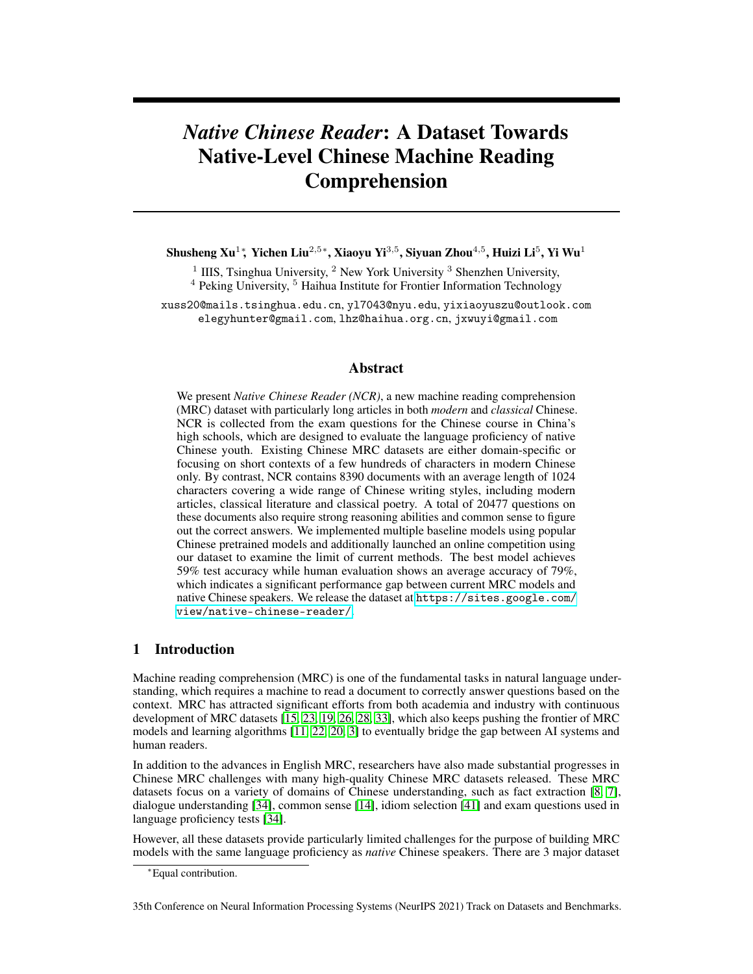

<span id="page-5-1"></span>Figure 1: The histogram of  $p_{(s>10)}$  over the validation and test sets. The blue bars correspond to classical documents, while the orange bars represent modern documents. We can observe that 0.2 is an effective classification boundary to distinguish classical and modern documents.

<span id="page-5-2"></span>Figure 2: The histogram of  $p_{(s>10)}$  over the training set. Although the writing style of these documents are not annotated, we could still observe two modalities with a separation boundary at 0.2, which we will use as a rough criterion to distinguish modern and classical documents in the training set.

and abstract in order to satisfy the poetic form of "相见欢" (Xiang-Jian-Huan). This poem describes a scene where the poet stands on a tower staring at the moon. However, in order to correctly understand the sentiment and meaning of the poem, the reader needs to leverage imagery and symbolism in classical Chinese culture (e.g., moon and autumn mean sadness) as well as the personal background of the poet (e.g., Li Yu was a captured emperor).

**Modern Chinese:** For the modern Chinese documents in NCR, in addition to the challenge due to longer average length, the associated questions also focus more on the high-level metaphors and the underlying thoughts, which often require non-trivial reasoning with historical and cultural knowledge. Table [4](#page-4-0) D2 shows an excerpt from a long article (the full document in NCR has about 2000 characters) written by a famous Chinese author,  $\frac{4}{3}$  (Lu Xun). The article describes a scene where the author unexpectedly met one of his old friends not seen for a long time and had a meal together. The associated question (Q3) primarily asks about the high-level thoughts expressed by the author, which has to be inferred from the entire article and requires the readers to have strong knowledge of the author's personal experiences and the background of the era.

In addition to human annotation, we found that sentences in classical documents are usually shorter than in modern documents, which can be used as a simple criterion to categorize writing style. In detail, we split each document into sentences, compute the proportion of sentences with a length greater than [1](#page-5-1)0, and denote it as  $p_{(s>10)}$ . We plot the histogram of  $p_{(s>10)}$  in Figure 1 and [2.](#page-5-2) We remark that in validation and test sets, 98% of the classical documents have  $p_{(s>10)} < 0.2$  while 96% of the modern documents have  $p_{(s>10)} \geq 0.2$ . This suggests an approximate yet effective categorization criterion, i.e.,  $p_{(s>10)} < 0.2$ , for classifying document style over the training set.

## <span id="page-5-0"></span>3.4 Question Type

To perform fine-grained analysis of the questions in NCR, we conduct human annotations for a sampled batch of 300 questions from the test set. The label of each question is on the consensus of 3 annotators. The questions are categorized into 5 different categories:

Matching questions ask about a fact that has been explicitly described in the document. The correct answer can be directly obtained from a short span or a single sentence from the document. Note that different options can refer to different spans.

Semantic questions ask about the semantic meanings of words or characters in a sentence, including antonym, synonymy, rhetoric and word segmentation. Q1 in Table [4](#page-4-0) belongs to this category. We find that semantic questions are usually associated with classical Chinese documents.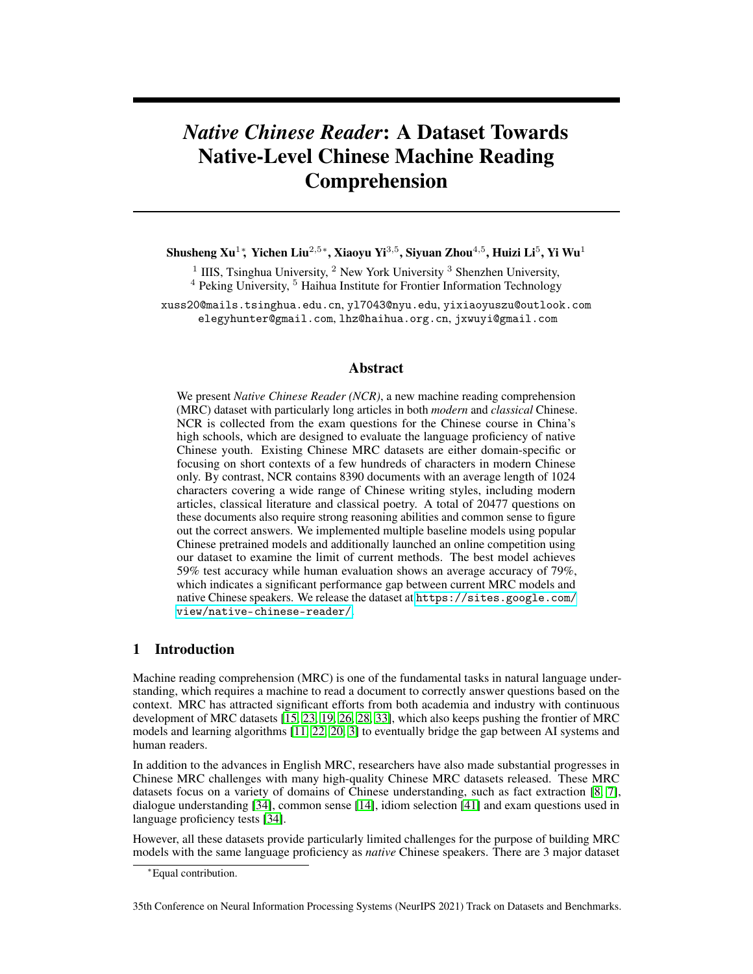Summary questions require the readers to understand all the facts stated throughout the entire document in order to choose a desired option, which presents a correct or incorrect fact summary.

Reasoning questions require the reader to perform non-trivial reasoning to infer a conclusion not explicitly stated in the document. A reasoning question in NCR often requires the reader to strong background knowledge and common sense. Q3 in Table [4](#page-4-0) and Q1 in Table [6](#page-7-0) belong to this category.

Sentiment questions ask about the implicit sentiment that the author expressed in the document. Sentiment questions in NCR typically require knowledge of imagery, symbolism and even the author's sociopolitical perspective. Q2 in Table [4](#page-4-0) belongs to this category.

The annotations are summarized in Table [5.](#page-6-0) We can observe that NCR has very few matching questions, which indicates that most NCR questions require non-trivial comprehension of the documents.

As a comparison, we also sampled a total of 600 questions from  $\mathbb{C}^3$  dataset, another exam-questionbased MRC dataset, with 300 from  $\rm C_M^3$  and 300 from  $\rm C_D^3$  respectively, and annotated the sampled questions with the same standard and annotation process. The statistics are summarized in Table [5.](#page-6-0) We can observe that C<sup>3</sup> contains a large portion of matching questions and much fewer summary and sentiment questions. Despite the fact that NCR and  $C<sup>3</sup>$  has about the same percentage of reasoning questions, we remark that reasoning questions in NCR are significantly harder than those in  $\mathbb{C}^3$ . This is not only because the documents in NCR are longer (so that fact extraction will be harder) but also because the reasoning questions in NCR typically require reasoning over a combination of document-level facts and background knowledge of both Chinese history and culture. To better illustrate the difference between NCR and  $\mathbb{C}^3$ , we select two example reasoning questions in Table [6,](#page-7-0) with one from  $C<sup>3</sup>$  and one from NCR respective.

## 4 Experiment

In this section, we conduct quantitative study as well as human evaluation on our NCR dataset.

#### 4.1 Baseline Methods

Trivial Baselines: We consider random guess and deterministic choice as trivial baselines. Deterministic choice always selects the same option ID.

Fine-Tuning of Pretrained Model: We utilize the MRC model architecture from the BERT paper [\[11\]](#page-10-1) and perform fine-tuning with NCR. We consider the fine-tuned performance of 7 popular Chinese pretrained models, including BERT-Chinese [\[11\]](#page-10-1), ERNIE [\[35\]](#page-12-6), BERT-wwm, BERT-wwmext, RoBERTa-large-Chinese [\[6\]](#page-10-13), MacBERT-base and MacBERT-large [\[5\]](#page-10-14). We also investigate the effectiveness of data augmentation by additionally collecting 6000 documents and 13K exam questions for China's primary-school Chinese course. We combine these primary-school exam questions and the NCR training data as an augmented dataset to further boost the final performance. All the model and training details can be found in appendix B.

Competition: To examine the limit of current MRC methods, we organized a 3-month-long online competition using NCR with training and validation set released. Participants are allowed to use any open-access pretrained model or any open-access *unlabeled* data. Use of any external MRC *supervision* is forbidden, since a portion of the test questions are possibly accessible online. This aims to prevent human annotations overlapping with our held-out data for a fair competition. There are a total of 141 participating teams and the best submission model with the highest test accuracy is taken

<span id="page-6-0"></span>

| Type      | <b>NCR</b> | $C_{2}^{3}$ . | $C_{\Gamma}^{3}$ | ೧3      |
|-----------|------------|---------------|------------------|---------|
| Matching  | $0.33\%$   | 47.0%         | 48.6%            | 47.8%   |
| Semantic  | 20.0%      | $1.7\%$       | 2.3%             | 2.0%    |
| Summary   | 38.3%      | 15.3%         | $4.3\%$          | 9.8%    |
| Reasoning | 28.3%      | 29.3%         | 36.7%            | 33.0%   |
| Sentiment | $13.0\%$   | 6.7%          | 8.0%             | $7.4\%$ |

Table 5: Distribution of question types in NCR and  $\mathbb{C}^3$ .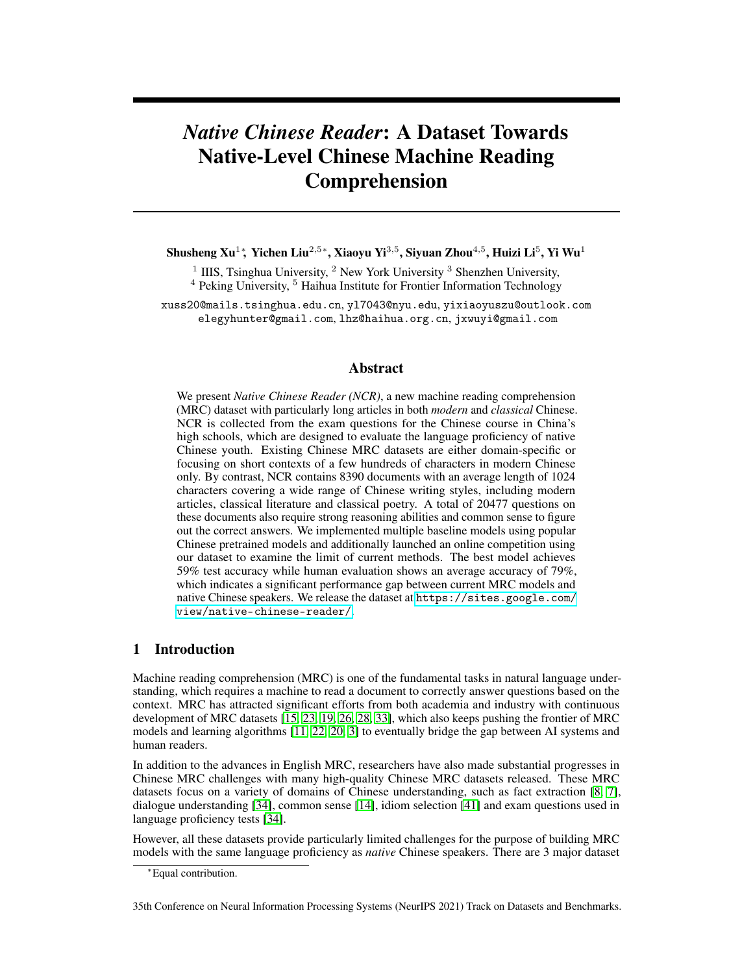<span id="page-7-0"></span>Table 6: Examples of reasoning questions from NCR (top) and  $C^3$  (bottom) with Chinese (left) and English translation (right). We defer the NCR document to Table 2 in Appendix D.  $\star$  denotes the correct option. In order to correctly answer Q1 from NCR, the reader not only needs to comprehend the texts in D1 describing the scene where Jun-tu meets the author's mother but also needs to understand the cultural meaning of " $\star \pm \times$ " (madam).

|                 | D1: 故乡 , $\bullet$ A<br>出与本 段中中年ð土形a分<br>O1:<br>析不恰当的一V                                                                                                                  | D1: My old home (excerpt) $Lu$ Xun<br>Q1: Select the incorrect analysis of middle-aged Jun-tu's<br>image.                                                                                                                                                                                                                                                                                                                                                                                                                |
|-----------------|--------------------------------------------------------------------------------------------------------------------------------------------------------------------------|--------------------------------------------------------------------------------------------------------------------------------------------------------------------------------------------------------------------------------------------------------------------------------------------------------------------------------------------------------------------------------------------------------------------------------------------------------------------------------------------------------------------------|
| NCR.            | A. 他称"我"母亲为"太太" h 现<br>了他有意"好"我"母亲。*<br>B. 他称  己少年时的好友为"爷"<br>O明了他受封建ⅡSA念影响很<br>深。<br>C.从他的对Y中可以看出他的生活<br>景况  常不好 他是当时下层人民<br>形曰的)影。<br>D.宏儿和水生就像当年的"我"和7<br>土一样 彼此之白没有" | A. He called my mother the "madam", which shows<br>his intention to please my mother. $\star$<br>B. He called his former good friend "master", which<br>shows that he was deeply influenced by the feudal con-<br>cept of hierarchy.<br>C. From his dialogue, we can see that the situation of<br>his life is very bad, and he is the epitome of the image<br>of the lower class at that time.<br>D. Hung-eth and the Shui-sheng are just like me and<br>Jun-tu at that time, they are not estranged from each<br>other. |
| $\mathcal{C}^3$ | D2: 男 Øý 不ý 再便宜点儿<br>女"已门 门您打五折了先生"<br>Q2: 他们最可ý是什么关ǔ<br>A.夫妻 C. 师和学生<br>B.同事 D.售 员和~客*                                                                                  | D2. Man: Can you make it a little cheaper? "Woman:<br>"I've given you a 50% discount, sir!"<br>Q2. What is the most likely relationship between them?<br>A. Husband and wife C. Teacher and student<br>B. Colleagues D. Salesperson and customer $\star$                                                                                                                                                                                                                                                                 |

as the *competition* model. The team is from an industry lab. They first pre-trained an XLNet-based model [\[40\]](#page-12-7) on a company-collected large corpus<sup>[2](#page-7-1)</sup>. For each question, they use an information retrieval tool Okapi BM25 [\[30,](#page-11-16) [29\]](#page-11-17) to extract the most relevant parts from the document and then run this pre-trained model for answer selection based on the extracted texts.

Human Evaluation: We randomly sample 50 documents with 120 questions from the annotated subset of test data in NCR and send these questions to 30 sophomore college students. All the students are native Chinese speakers majored in computer science, who have not taken any Chinese course during the recent 2 years after college admission. Therefore, we believe they have reasonable reading comprehension capabilities close to typical China's high school students. Each question is completed by at least 3 students to get an accurate performance estimation.

## 4.2 Results

### 4.2.1 Overall Performance

The performance of different baseline methods as well as human volunteers are summarized in Table [7.](#page-8-0) Pretrained models are substantially better than trivial baselines. Particularly, the MacBERTlarge model produces the highest fine-tuning test accuracy of 0.4780 while the use of external data augmentation further boost the test performance to 0.5021, which suggest the effectiveness of data augmentation. The best model comes from the participants of the online competition. The best competition model achieves a test accuracy of 0.5985, which is much higher than the best fine-tuning model that authors obtained. However, the human volunteers achieves an average accuracy of 0.7917, which results in a 20% performance margin over the best baseline MRC model. Human performance is averaged per question over three annotators. To measure the inter-agreement, we calculate the agreement ratios. 60.83% of the questions have the same answer from all the 3 students, and 96.67% of the questions have the same answers from at least 2 students.

<span id="page-7-1"></span><sup>&</sup>lt;sup>2</sup>Unfortunately, the company disagreed to release their internal pretraining data but the final trained model will be released at our project website.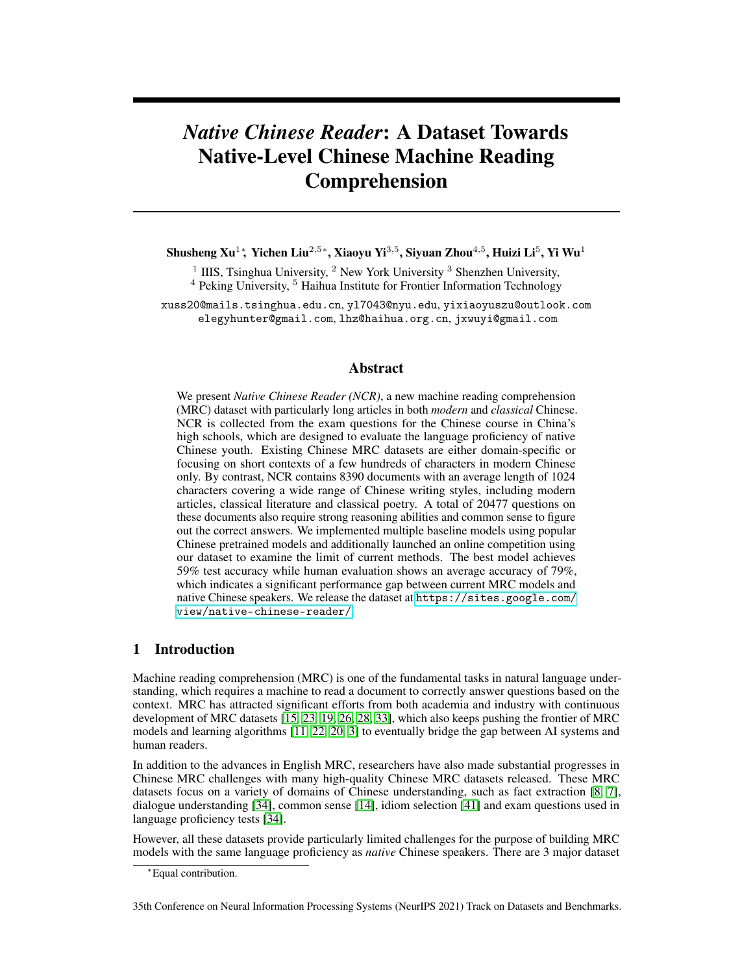| Method                    | Val.   | <b>Test</b> |
|---------------------------|--------|-------------|
| <b>Random Guess</b>       | 0.2505 | 0.2511      |
| Deterministic Choice      | 0.2951 | 0.2613      |
| <b>BERT-Chinese</b>       | 0.3930 | 0.3946      |
| <b>ERNIE</b>              | 0.4445 | 0.4252      |
| <b>BERT-wwm</b>           | 0.4310 | 0.4272      |
| BERT-wwm-ext              | 0.4814 | 0.4451      |
| <b>MacBERT</b>            | 0.4736 | 0.4597      |
| RoBERTa-large-Chinese     | 0.4666 | 0.4642      |
| MacBERT-large             | 0.5051 | 0.4780      |
| MacBERT-large (data aug.) | 0.5199 | 0.5021      |
| Competition               | 0.5831 | 0.5985      |
| Human performance         | N/A    | $0.7917*$   |
|                           |        |             |

<span id="page-8-0"></span>Table 7: Validation and test accuracy of different MRC methods on NCR. \* Human evaluation is only conducted over a subset of test questions.

<span id="page-8-1"></span>Table 8: Test accuracy of human and AI w.r.t. different document writing styles. FT is the best model finetuned by ourselves and CMP is the best competition model.

| Document Style         | Human  | FТ     | <b>CMP</b> |
|------------------------|--------|--------|------------|
| Modern                 | 0.7489 | 0.5257 | 0.6151     |
| Classical (w/o poetry) | 0.8632 | 0.4502 | 0.5671     |
| Poetry only            | 0.9167 | 0.3462 | 0.4179     |

## 4.2.2 Fine-Grained Analysis

We measure the performance of the MRC models, i.e., the best fine-tuned model (*FT*) and the competition model (*CMP*), and human on the test questions w.r.t. different factors, including writing style, document length and question type. We remark that the model accuracy are measured over the entire test set except the study on question type, which are over the annotated subset only.

Writing style: Table [8](#page-8-1) illustrates the performance of MRC models and human on different document styles. The performance of AI significantly drops on classical Chinese documents, particularly on poetry. By contrast, we observe an opposite phenomena for humans, who perform the best on poetry, the most abstract form of classical Chinese literature. We remark that in China's Chinese exams, questions on modern and classical texts may often have different examination focuses. Questions on classical Chinese are more biased towards understanding the meaning of characters, words, and sentences (see Table [4,](#page-4-0) Q1), which may not be intrinsically difficult for native Chinese students who have been well trained. While modern Chinese questions are often more general and require in-depth understanding of the entire document (see Table [4,](#page-4-0) Q3), which can be challenging for humans. This is because Chinese documents are much longer and reading and remembering facts under long documents can easily make a human distracted.

We also investigate whether a AI model purely trained on modern Chinese can directly transfer to classical texts. Since we do not have ground truth annotations on training set, we following the filtering process in section [3.3](#page-3-2) as a rough categorization, which yields 4507 documents. We fine-tune the MacBERT-large on this filtered training set (without data augmentation) and show the testing results in Table  $\overline{9}$ . We can observe that the performance on classical documents drops significantly with classical documents filtered out, while the performance on modern documents remains unchanged. Hence, we argue that classical Chinese training data can be critical. This also suggests an important direction for improving Chinese pre-trained models.

**Document Length:** Table. [10](#page-9-1) summarizes the performance of human and AI on documents with various lengths. For classical Chinese documents, the most challenging documents are those shortest ones, which are most likely poetry. For modern articles, human performance drops for particularly long articles. For AI, the hierarchically-structured competition model performs the worst on relatively short articles while the fine-tuning model has the most difficulties in documents with a moderate length, i.e., from 300 to 600 characters. This suggests possible enhancements on model architecture.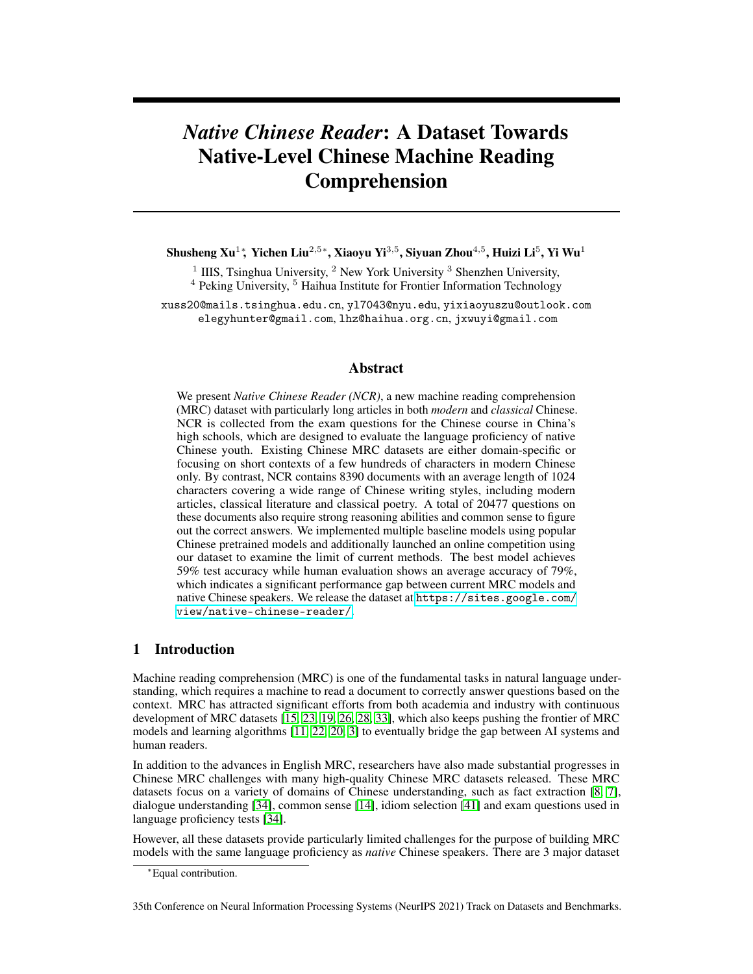<span id="page-9-0"></span>Table 9: Test accuracy of MacBERT-large fine-tuned on complete and filtered training set.

| Training set | Modern | $Classical$ (w/o poetry) | poetry |
|--------------|--------|--------------------------|--------|
| Complete     | 0.5039 | 0.3871                   | 0.3582 |
| Filtered     | 0.5060 | 0.2970                   | 0.2836 |

<span id="page-9-1"></span>Table 10: Test accuracy of human and AI w.r.t. different document lengths in both classical and modern Chinese. Human data are only presented when at least 5 documents can be collected from the annotated subset.

| Classical  |          |            |             |        |  |  |
|------------|----------|------------|-------------|--------|--|--|
| Len.       | [0, 100] | (100, 300] | (300, 600]  | >600   |  |  |
| FT         | 0.3014   | 0.5505     | 0.4162      | 0.4203 |  |  |
| CMP        | 0.2192   | 0.5046     | 0.6069      | 0.6116 |  |  |
| Human      | N/A      | 0.8333     | 0.7333      | 0.8958 |  |  |
|            | Modern   |            |             |        |  |  |
| Len.       | [0, 300] | (300, 600] | (600, 1200] | >1200  |  |  |
| <b>FT</b>  | 0.5714   | 0.4203     | 0.5220      | 0.5486 |  |  |
| <b>CMP</b> | 0.3809   | 0.5652     | 0.6373      | 0.5973 |  |  |
| Human      | N/A      | N/A        | 0.7879      | 0.6970 |  |  |

Moreover, although the performance gap between human and machine becomes less significant on particularly long documents, the accuracy of AI systems remains unsatisfying in general. We also want to remark that even those relative short documents in NCR are substantially longer and more sophisticated than existing datasets of the similar question types like  $\mathbb{C}^3$ .

<span id="page-9-2"></span>Table 11: Test accuracy of human and AI w.r.t. different question types. We ignore matching questions since they are too infrequent.

| Question Type | Human  | FT.    | <b>CMP</b> |
|---------------|--------|--------|------------|
| Semantic      | 0.9047 | 0.5000 | 0.5833     |
| Summary       | 0.7976 | 0.5431 | 0.5603     |
| Reasoning     | 0.7179 | 0.6000 | 0.6588     |
| Sentiment     | 0.6333 | 0.5641 | 0.5128     |

Question Type: We also compare the performance of human and AI on different question types in Table. [11.](#page-9-2) To our surprise, sentiment questions, which are the most challenging for humans, yield the smallest performance margin. While the largest gap is on semantic questions, which we believe the easiest for human. This indicates that a pretrained model is capable of capturing high-level sentiment information but still lacks word/character-level reasoning abilities. In addition, we also observed that the hierarchical competition model performs much worse than the fine-tuned model on sentiment questions, which suggests that running a retrieval model first may result in a loss of document-level global information which can be critical for sentiment analysis. This raises an open challenge for building more effective hierarchical models for processing long texts.

# 5 Conclusion

We present a novel Chinese MRC dataset, *Native Chinese Reader (NCR)*, towards building *nativelevel* Chinese MRC models. Experiments on NCR indicate a significant gap between current MRC methods and human performance, which suggests great opportunities for future research, and, hopefully, pushes the frontier of Chinese natural language understanding.

Remark: Our dataset primarily consists of open-access exam questions or generated ones with teacher permission. All the documents are all public teaching materials. The released models are permitted by the online competition participants. Annotations and human evaluation results are completed by PhD students and interns that are all paid according to our institute regulation. Hence, we believe that our project will not lead to any legal or ethical issues.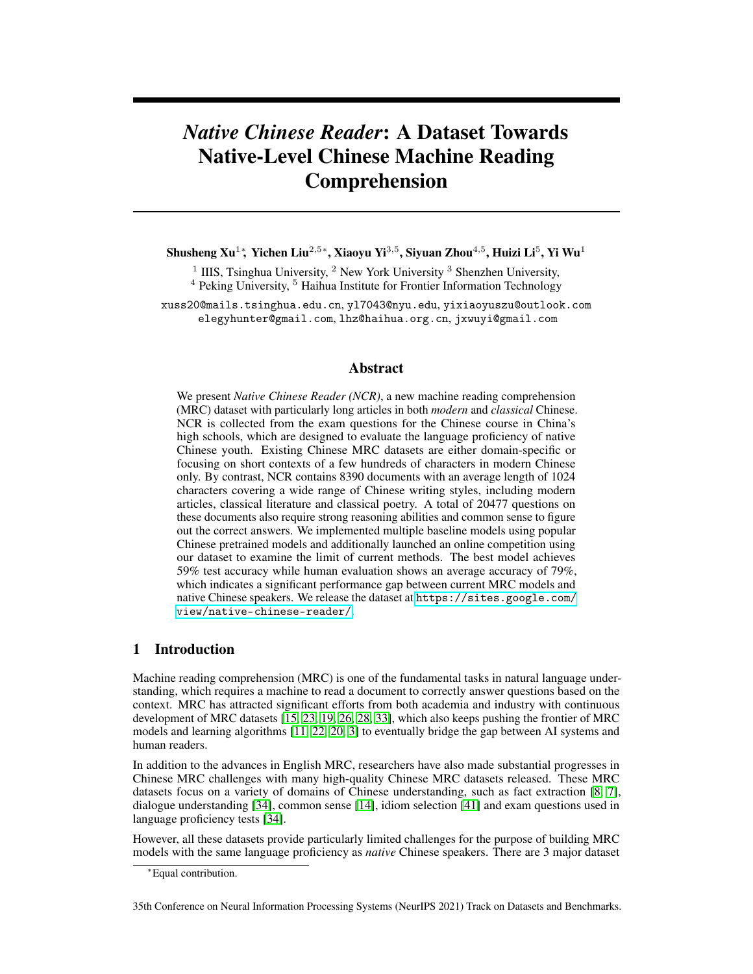#### Acknowledgements

Yi Wu is supported by 2030 Innovation Megaprojects of China (Programme on New Generation Artificial Intelligence) Grant No. 2021AAA0150000. We would also like to thank the anonymous reviewers for their insightful feedbacks.

## References

- <span id="page-10-12"></span>[1] Mikel Artetxe, Sebastian Ruder, and Dani Yogatama. On the cross-lingual transferability of monolingual representations. *arXiv preprint arXiv:1910.11856*, 2019.
- <span id="page-10-6"></span>[2] Ondrej Bajgar, Rudolf Kadlec, and Jan Kleindienst. Embracing data abundance: Booktest dataset for reading comprehension. *arXiv preprint arXiv:1610.00956*, 2016.
- <span id="page-10-2"></span>[3] Tom B Brown, Benjamin Mann, Nick Ryder, Melanie Subbiah, Jared Kaplan, Prafulla Dhariwal, Arvind Neelakantan, Pranav Shyam, Girish Sastry, Amanda Askell, et al. Language models are few-shot learners. *arXiv preprint arXiv:2005.14165*, 2020.
- <span id="page-10-7"></span>[4] Eunsol Choi, He He, Mohit Iyyer, Mark Yatskar, Wen-tau Yih, Yejin Choi, Percy Liang, and Luke Zettlemoyer. Quac: Question answering in context. *arXiv preprint arXiv:1808.07036*, 2018.
- <span id="page-10-14"></span>[5] Yiming Cui, Wanxiang Che, Ting Liu, Bing Qin, Shijin Wang, and Guoping Hu. Revisiting pre-trained models for chinese natural language processing. *arXiv preprint arXiv:2004.13922*, 2020.
- <span id="page-10-13"></span>[6] Yiming Cui, Wanxiang Che, Ting Liu, Bing Qin, Ziqing Yang, Shijin Wang, and Guoping Hu. Pre-training with whole word masking for chinese bert. *arXiv preprint arXiv:1906.08101*, 2019.
- <span id="page-10-4"></span>[7] Yiming Cui, Ting Liu, Wanxiang Che, Li Xiao, Zhipeng Chen, Wentao Ma, Shijin Wang, and Guoping Hu. A span-extraction dataset for chinese machine reading comprehension. *arXiv preprint arXiv:1810.07366*, 2018.
- <span id="page-10-3"></span>[8] Yiming Cui, Ting Liu, Zhipeng Chen, Wentao Ma, Shijin Wang, and Guoping Hu. Dataset for the first evaluation on chinese machine reading comprehension. *arXiv preprint arXiv:1709.08299*, 2017.
- <span id="page-10-9"></span>[9] Yiming Cui, Ting Liu, Zhipeng Chen, Shijin Wang, and Guoping Hu. Consensus attention-based neural networks for chinese reading comprehension. *arXiv preprint arXiv:1607.02250*, 2016.
- <span id="page-10-10"></span>[10] Yiming Cui, Ting Liu, Ziqing Yang, Zhipeng Chen, Wentao Ma, Wanxiang Che, Shijin Wang, and Guoping Hu. A sentence cloze dataset for chinese machine reading comprehension. *arXiv preprint arXiv:2004.03116*, 2020.
- <span id="page-10-1"></span>[11] Jacob Devlin, Ming-Wei Chang, Kenton Lee, and Kristina Toutanova. Bert: Pre-training of deep bidirectional transformers for language understanding. *arXiv preprint arXiv:1810.04805*, 2018.
- <span id="page-10-8"></span>[12] Dheeru Dua, Yizhong Wang, Pradeep Dasigi, Gabriel Stanovsky, Sameer Singh, and Matt Gardner. Drop: A reading comprehension benchmark requiring discrete reasoning over paragraphs. *arXiv preprint arXiv:1903.00161*, 2019.
- <span id="page-10-11"></span>[13] Pavel Efimov, Andrey Chertok, Leonid Boytsov, and Pavel Braslavski. Sberquad–russian reading comprehension dataset: Description and analysis. In *International Conference of the Cross-Language Evaluation Forum for European Languages*, pages 3–15. Springer, 2020.
- <span id="page-10-5"></span>[14] Wei He, Kai Liu, Jing Liu, Yajuan Lyu, Shiqi Zhao, Xinyan Xiao, Yuan Liu, Yizhong Wang, Hua Wu, Qiaoqiao She, et al. Dureader: a chinese machine reading comprehension dataset from real-world applications. *arXiv preprint arXiv:1711.05073*, 2017.
- <span id="page-10-0"></span>[15] Karl Moritz Hermann, Tomáš Kočiskỳ, Edward Grefenstette, Lasse Espeholt, Will Kay, Mustafa Suleyman, and Phil Blunsom. Teaching machines to read and comprehend. *arXiv preprint arXiv:1506.03340*, 2015.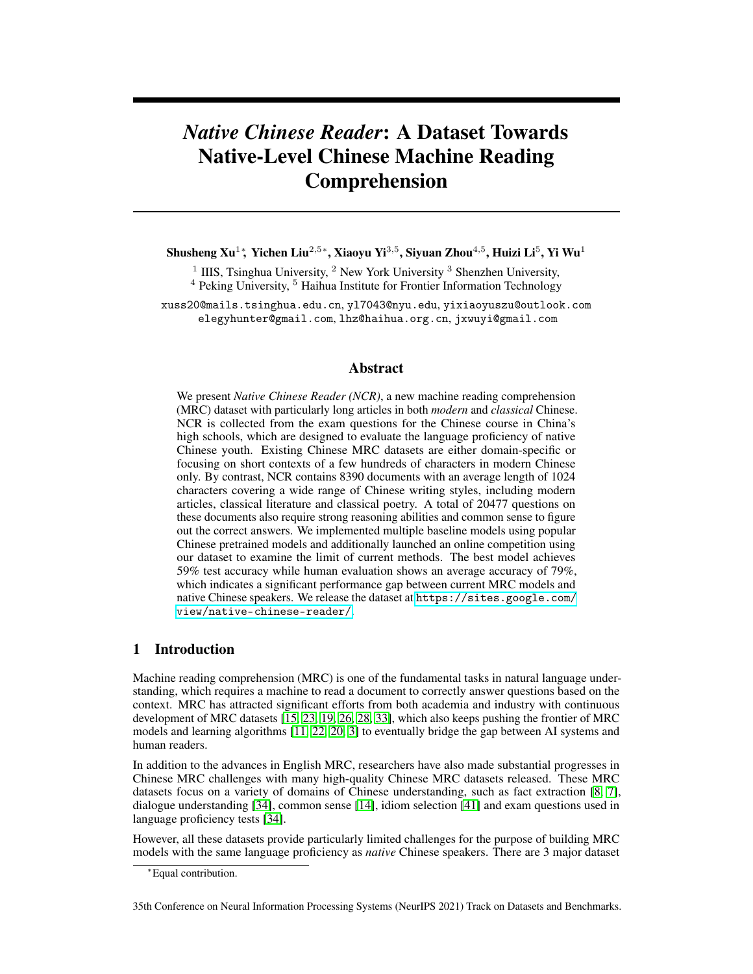- <span id="page-11-8"></span>[16] Felix Hill, Antoine Bordes, Sumit Chopra, and Jason Weston. The goldilocks principle: Reading children's books with explicit memory representations. *arXiv preprint arXiv:1511.02301*, 2015.
- <span id="page-11-11"></span>[17] Mandar Joshi, Eunsol Choi, Daniel S Weld, and Luke Zettlemoyer. Triviaqa: A large scale distantly supervised challenge dataset for reading comprehension. *arXiv preprint arXiv:1705.03551*, 2017.
- <span id="page-11-12"></span>[18] Tomáš Kočiskỳ, Jonathan Schwarz, Phil Blunsom, Chris Dyer, Karl Moritz Hermann, Gábor Melis, and Edward Grefenstette. The narrativeqa reading comprehension challenge. *Transactions of the Association for Computational Linguistics*, 6:317–328, 2018.
- <span id="page-11-1"></span>[19] Guokun Lai, Qizhe Xie, Hanxiao Liu, Yiming Yang, and Eduard Hovy. Race: Large-scale reading comprehension dataset from examinations. *arXiv preprint arXiv:1704.04683*, 2017.
- <span id="page-11-6"></span>[20] Zhenzhong Lan, Mingda Chen, Sebastian Goodman, Kevin Gimpel, Piyush Sharma, and Radu Soricut. Albert: A lite bert for self-supervised learning of language representations. *arXiv preprint arXiv:1909.11942*, 2019.
- <span id="page-11-15"></span>[21] Jiahua Liu, Yankai Lin, Zhiyuan Liu, and Maosong Sun. Xqa: A cross-lingual open-domain question answering dataset. In *Proceedings of the 57th Annual Meeting of the Association for Computational Linguistics*, pages 2358–2368, 2019.
- <span id="page-11-5"></span>[22] Yinhan Liu, Myle Ott, Naman Goyal, Jingfei Du, Mandar Joshi, Danqi Chen, Omer Levy, Mike Lewis, Luke Zettlemoyer, and Veselin Stoyanov. Roberta: A robustly optimized bert pretraining approach. *arXiv preprint arXiv:1907.11692*, 2019.
- <span id="page-11-0"></span>[23] Tri Nguyen, Mir Rosenberg, Xia Song, Jianfeng Gao, Saurabh Tiwary, Rangan Majumder, and Li Deng. Ms marco: A human generated machine reading comprehension dataset. In *CoCo@ NIPS*, 2016.
- <span id="page-11-9"></span>[24] Takeshi Onishi, Hai Wang, Mohit Bansal, Kevin Gimpel, and David McAllester. Who did what: A large-scale person-centered cloze dataset. *arXiv preprint arXiv:1608.05457*, 2016.
- <span id="page-11-7"></span>[25] Denis Paperno, Germán Kruszewski, Angeliki Lazaridou, Quan Ngoc Pham, Raffaella Bernardi, Sandro Pezzelle, Marco Baroni, Gemma Boleda, and Raquel Fernández. The lambada dataset: Word prediction requiring a broad discourse context. *arXiv preprint arXiv:1606.06031*, 2016.
- <span id="page-11-2"></span>[26] Pranav Rajpurkar, Robin Jia, and Percy Liang. Know what you don't know: Unanswerable questions for squad. *arXiv preprint arXiv:1806.03822*, 2018.
- <span id="page-11-10"></span>[27] Pranav Rajpurkar, Jian Zhang, Konstantin Lopyrev, and Percy Liang. Squad: 100,000+ questions for machine comprehension of text. *arXiv preprint arXiv:1606.05250*, 2016.
- <span id="page-11-3"></span>[28] Siva Reddy, Danqi Chen, and Christopher D Manning. Coqa: A conversational question answering challenge. *Transactions of the Association for Computational Linguistics*, 7:249–266, 2019.
- <span id="page-11-17"></span>[29] Stephen Robertson and Hugo Zaragoza. *The probabilistic relevance framework: BM25 and beyond*. Now Publishers Inc, 2009.
- <span id="page-11-16"></span>[30] Stephen E Robertson and K Sparck Jones. Relevance weighting of search terms. *Journal of the American Society for Information science*, 27(3):129–146, 1976.
- <span id="page-11-13"></span>[31] Chih Chieh Shao, Trois Liu, Yuting Lai, Yiying Tseng, and Sam Tsai. Drcd: a chinese machine reading comprehension dataset. *arXiv preprint arXiv:1806.00920*, 2018.
- <span id="page-11-14"></span>[32] Hideyuki Shibuki, Kotaro Sakamoto, Yoshinobu Kano, Teruko Mitamura, Madoka Ishioroshi, Kelly Y Itakura, Di Wang, Tatsunori Mori, and Noriko Kando. Overview of the ntcir-11 qa-lab task. In *Ntcir*, volume 56, pages 59–99, 2014.
- <span id="page-11-4"></span>[33] Kai Sun, Dian Yu, Jianshu Chen, Dong Yu, Yejin Choi, and Claire Cardie. Dream: A challenge data set and models for dialogue-based reading comprehension. *Transactions of the Association for Computational Linguistics*, 7:217–231, 2019.